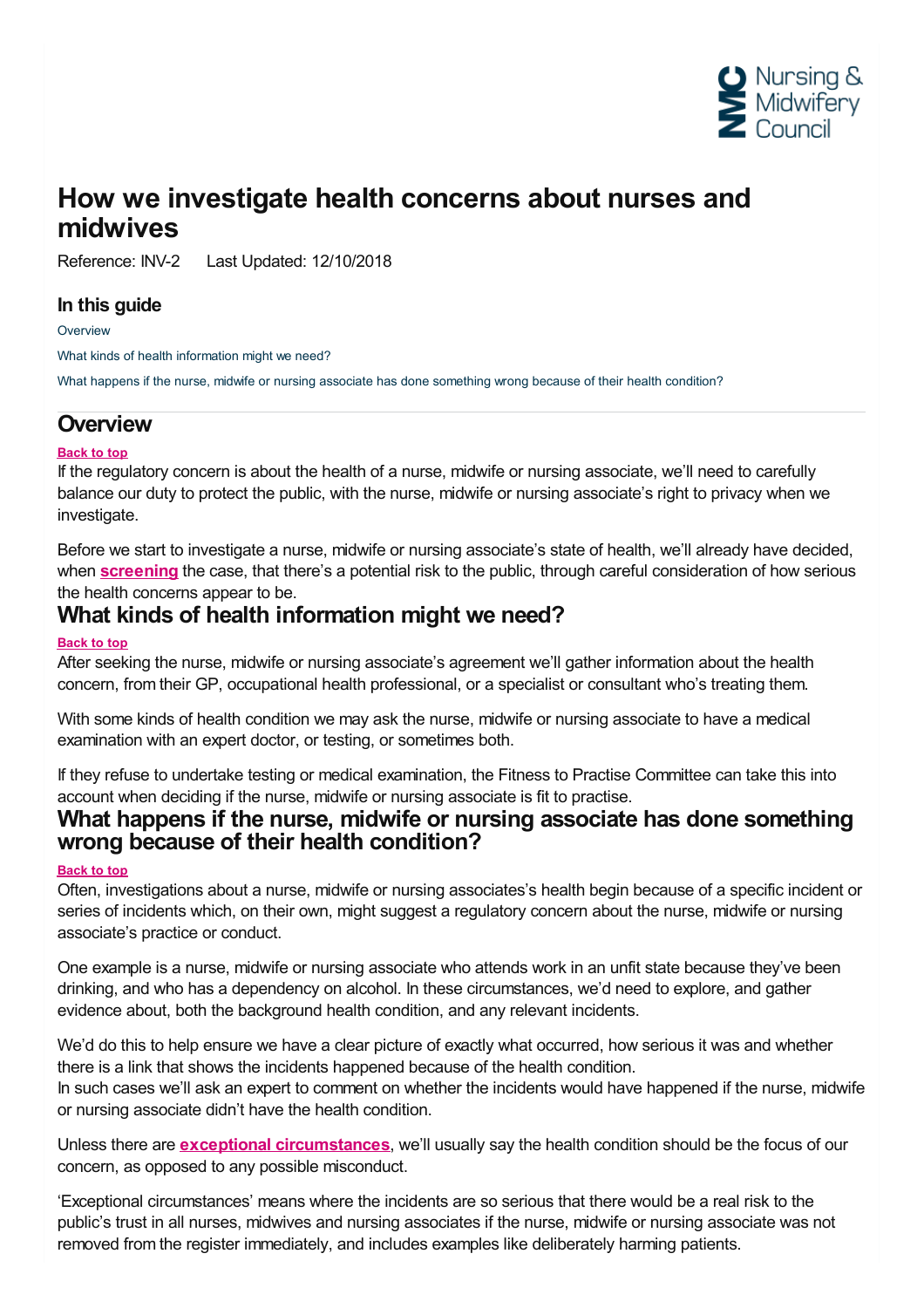

## **How we investigate health concerns about nurses and midwives**

Reference: INV-2 Last Updated: 12/10/2018

### **In this guide**

**[Overview](#page-0-0)** 

What kinds of health [information](#page-0-1) might we need?

What happens if the nurse, midwife or nursing associate has done [something](#page-0-2) wrong because of their health condition?

### <span id="page-0-0"></span>**Overview**

### **Back to top**

If the regulatory concern is about the health of a nurse, midwife or nursing associate, we'll need to carefully balance our duty to protect the public, with the nurse, midwife or nursing associate's right to privacy when we investigate.

Before we start to investigate a nurse, midwife or nursing associate's state of health, we'll already have decided, when **[screening](~/link/f2d954e426124de1b881579a65f27c14.aspx)** the case, that there's a potential risk to the public, through careful consideration of how serious

# <span id="page-0-1"></span>the health concerns appear to be. **What kinds of health information might we need?**

### **Back to top**

After seeking the nurse, midwife or nursing associate's agreement we'll gather information about the health concern, from their GP, occupational health professional, or a specialist or consultant who's treating them.

With some kinds of health condition we may ask the nurse, midwife or nursing associate to have a medical examination with an expert doctor, or testing, or sometimes both.

If they refuse to undertake testing or medical examination, the Fitness to Practise Committee can take this into

## <span id="page-0-2"></span>account when deciding if the nurse, midwife or nursing associate is fit to practise.<br>What happens if the nurse, midwife or nursing associate has done something **wrong because of their health condition?**

#### **Back to top**

Often, investigations about a nurse, midwife or nursing associates's health begin because of a specific incident or series of incidents which, on their own, might suggest a regulatory concern about the nurse, midwife or nursing associate's practice or conduct.

One example is a nurse, midwife or nursing associate who attends work in an unfit state because they've been drinking, and who has a dependency on alcohol. In these circumstances, we'd need to explore, and gather evidence about, both the background health condition, and any relevant incidents.

We'd do this to help ensure we have a clear picture of exactly what occurred, how serious it was and whether there is a link that shows the incidents happened because of the health condition.

In such cases we'll ask an expert to comment on whether the incidents would have happened if the nurse, midwife or nursing associate didn't have the health condition.

Unless there are **exceptional [circumstances](https://www.nmc.org.uk/ftp-library/hearings/drafting-charges/drafting-charges-in-health-cases/)**, we'll usually say the health condition should be the focus of our concern, as opposed to any possible misconduct.

'Exceptional circumstances' means where the incidents are so serious that there would be a real risk to the public's trust in all nurses, midwives and nursing associates if the nurse, midwife or nursing associate was not removed from the register immediately, and includes examples like deliberately harming patients.